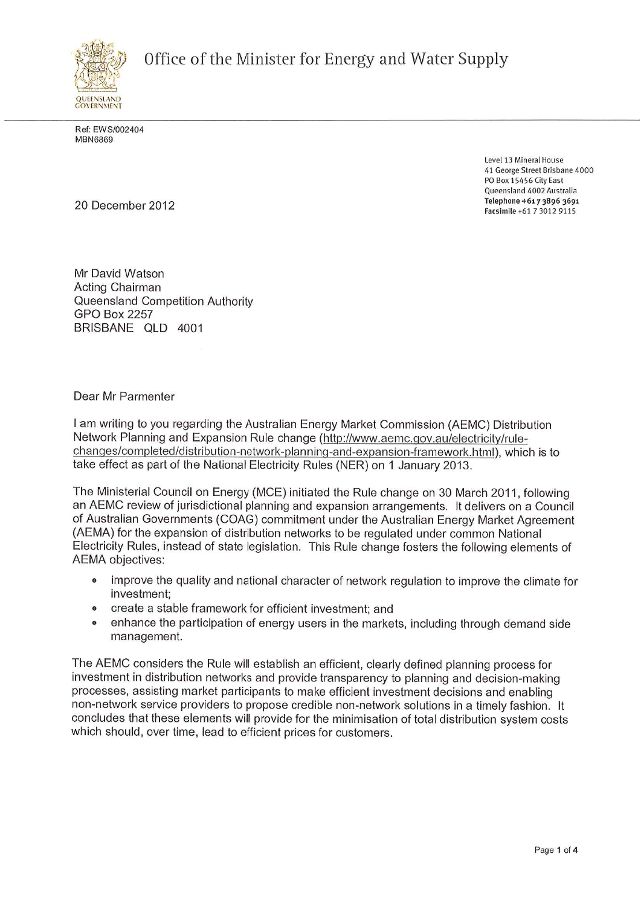**Office of the Minister for Energy and Water Supply** 



Ref: EWS/002404 MBN6869

Level **13** Mineral House **41** George Street Brisbane **4000**  PO Box **15456** City East Queensland **4002** Australia **Telephone** +6i 7 3896 <sup>3691</sup> **Facsimile +61 7 3012 9115** 20 December <sup>2012</sup>

Mr David Watson Acting Chairman Queensland Competition Authority GPO Box 2257 BRISBANE QLD 4001

## Dear Mr Parmenter

I am writing to you regarding the Australian Energy Market Commission (AEMC) Distribution Network Planning and Expansion Rule change (http://www.aemc.qov.au/electricitv/riilechanges/completed/distribution-network-planning-and-expansion-framework.html), which is to take effect as part of the National Electricity Rules (NER) on 1 January 2013.

The Ministerial Council on Energy (MCE) initiated the Rule change on 30 March 2011, following an AEMC review of jurisdictional planning and expansion arrangements. It delivers on a Council of Australian Governments (COAG) commitment under the Australian Energy Market Agreement (AEMA) for the expansion of distribution networks to be regulated under common National Electricity Rules, instead of state legislation. This Rule change fosters the following elements of AEMA objectives:

- improve the quality and national character of network regulation to improve the climate for investment;
- <sup>o</sup>create a stable framework for efficient investment: and
- © enhance the participation of energy users in the markets, including through demand side management.

The AEMC considers the Rule will establish an efficient, clearly defined planning process for investment in distribution networks and provide transparency to planning and decision-making processes, assisting market participants to make efficient investment decisions and enabling non-network service providers to propose credible non-network solutions in a timely fashion. It concludes that these elements will provide for the minimisation of total distribution system costs which should, over time, lead to efficient prices for customers.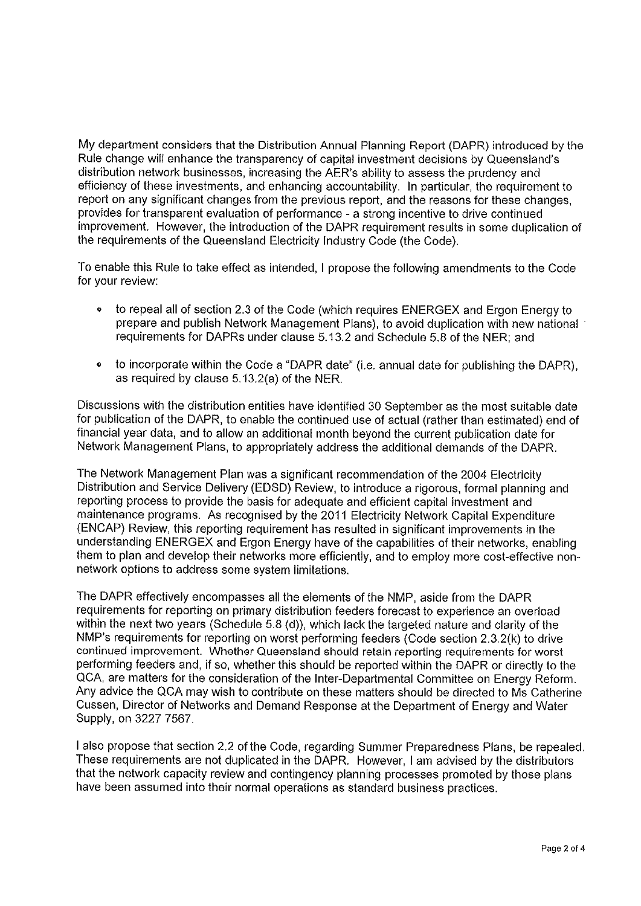My department considers that the Distribution Annual Planning Report (DAPR) introduced by the Rule change will enhance the transparency of capital investment decisions by Queensland's distribution network businesses, increasing the AER's ability to assess the prudency and efficiency of these investments, and enhancing accountability. In particular, the requirement to report on any significant changes from the previous report, and the reasons for these changes, provides for transparent evaluation of performance - a strong incentive to drive continued improvement. However, the introduction of the DAPR requirement results in some duplication of the requirements of the Queensland Electricity Industry Code (the Code).

To enable this Rule to take effect as intended, I propose the following amendments to the Code for your review:

- to repeal all of section 2.3 of the Code (which requires ENERGEX and Ergon Energy to prepare and publish Network Management Plans), to avoid duplication with new national requirements for DAPRs under clause 5.13.2 and Schedule 5.8 of the NER; and
- $\bullet$ to incorporate within the Code a "DAPR date" (i.e. annual date for publishing the DAPR), as required by clause 5.13.2(a) of the NER.

Discussions with the distribution entities have identified 30 September as the most suitable date for publication of the DAPR, to enable the continued use of actual (rather than estimated) end of financial year data, and to allow an additional month beyond the current publication date for Network Management Plans, to appropriately address the additional demands of the DAPR.

The Network Management Plan was a significant recommendation of the 2004 Electricity Distribution and Service Delivery (EDSD) Review, to introduce a rigorous, formal planning and reporting process to provide the basis for adequate and efficient capital investment and maintenance programs. As recognised by the 2011 Electricity Network Capital Expenditure (ENCAP) Review, this reporting requirement has resulted in significant improvements in the understanding ENERGEX and Ergon Energy have of the capabilities of their networks, enabling them to plan and develop their networks more efficiently, and to employ more cost-effective nonnetwork options to address some system limitations.

The DAPR effectively encompasses ail the elements of the NMP, aside from the DAPR requirements for reporting on primary distribution feeders forecast to experience an overload within the next two years (Schedule 5.8 (d)), which lack the targeted nature and clarity of the NMP's requirements for reporting on worst performing feeders (Code section 2.3.2(k) to drive continued improvement. Whether Queensland should retain reporting requirements for worst performing feeders and, if so, whether this should be reported within the DAPR or directly to the QCA, are matters for the consideration of the Inter-Departmental Committee on Energy Reform. Any advice the QCA may wish to contribute on these matters should be directed to Ms Catherine Cussen, Director of Networks and Demand Response at the Department of Energy and Water Supply, on 3227 7567.

I also propose that section 2.2 of the Code, regarding Summer Preparedness Plans, be repealed. These requirements are not duplicated in the DAPR. However, I am advised by the distributors that the network capacity review and contingency planning processes promoted by those plans have been assumed into their normal operations as standard business practices.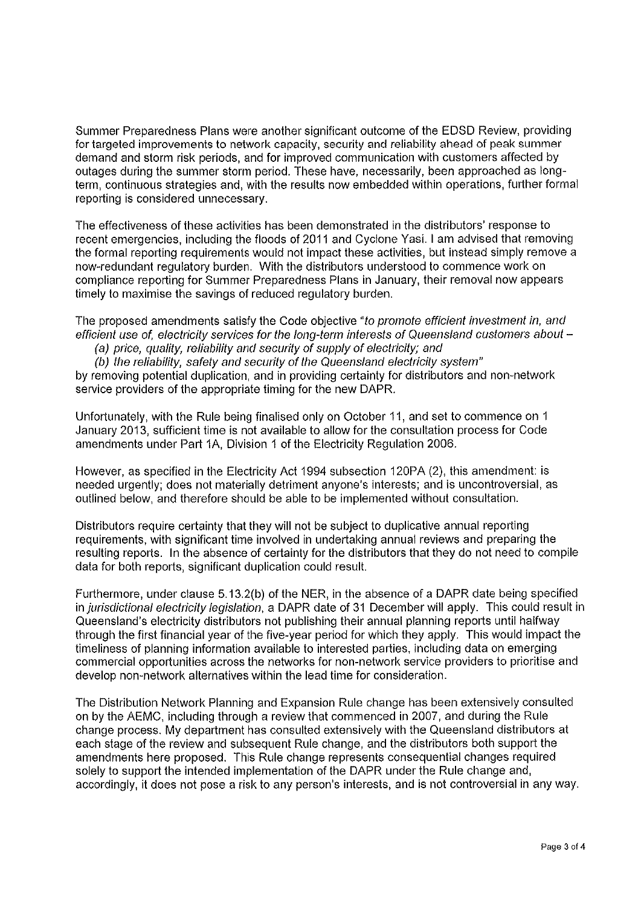Summer Preparedness Plans were another significant outcome of the EDSD Review, providing for targeted improvements to network capacity, security and reliability ahead of peak summer demand and storm risk periods, and for improved communication with customers affected by outages during the summer storm period. These have, necessarily, been approached as longterm, continuous strategies and, with the results now embedded within operations, further formal reporting is considered unnecessary.

The effectiveness of these activities has been demonstrated in the distributors' response to recent emergencies, including the floods of 2011 and Cyclone Yasi. I am advised that removing the formal reporting requirements would not impact these activities, but instead simply remove a now-redundant regulatory burden. With the distributors understood to commence work on compliance reporting for Summer Preparedness Plans in January, their removal now appears timely to maximise the savings of reduced regulatory burden.

The proposed amendments satisfy the Code objective *"to promote efficient investment in, and efficient use of, electricity seivices for the long-term interests of Queensland customers about -*

*(a) price, quality, reliability and security of supply of electricity; and* 

*(b) the reliability, safety and security of the Queensland electricity system"*  by removing potential duplication, and in providing certainty for distributors and non-network service providers of the appropriate timing for the new DAPR.

Unfortunately, with the Rule being finalised only on October 11, and set to commence on 1 January 2013, sufficient time is not available to allow for the consultation process for Code amendments under Part 1A, Division 1 of the Electricity Regulation 2006.

However, as specified in the Electricity Act 1994 subsection 120PA (2), this amendment: is needed urgently; does not materially detriment anyone's interests; and is uncontroversial, as outlined below, and therefore should be able to be implemented without consultation.

Distributors require certainty that they will not be subject to duplicative annual reporting requirements, with significant time involved in undertaking annual reviews and preparing the resulting reports. In the absence of certainty for the distributors that they do not need to compile data for both reports, significant duplication could result.

Furthermore, under clause 5.13.2(b) of the NER, in the absence of a DAPR date being specified in *jurisdictional electricity legislation*, a DAPR date of 31 December will apply. This could result in Queensland's electricity distributors not publishing their annual planning reports until halfway through the first financial year of the five-year period for which they apply. This would impact the timeliness of planning information available to interested parties, including data on emerging commercial opportunities across the networks for non-network service providers to prioritise and develop non-network alternatives within the lead time for consideration.

The Distribution Network Planning and Expansion Rule change has been extensively consulted on by the AEMC, including through a review that commenced in 2007, and during the Rule change process. My department has consulted extensively with the Queensland distributors at each stage of the review and subsequent Rule change, and the distributors both support the amendments here proposed. This Rule change represents consequential changes required solely to support the intended implementation of the DAPR under the Rule change and, accordingly, it does not pose a risk to any person's interests, and is not controversial in anyway.